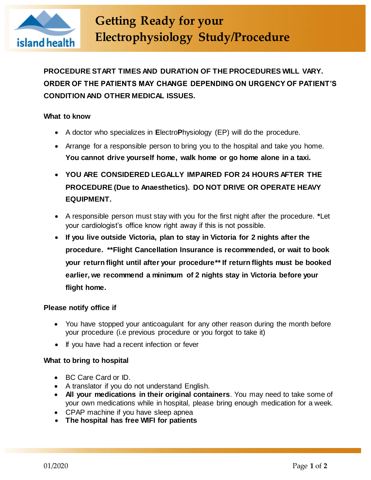

**PROCEDURE START TIMES AND DURATION OF THE PROCEDURES WILL VARY. ORDER OF THE PATIENTS MAY CHANGE DEPENDING ON URGENCY OF PATIENT'S CONDITION AND OTHER MEDICAL ISSUES.**

# **What to know**

- A doctor who specializes in **E**lectro**P**hysiology (EP) will do the procedure.
- Arrange for a responsible person to bring you to the hospital and take you home. **You cannot drive yourself home, walk home or go home alone in a taxi.**
- **YOU ARE CONSIDERED LEGALLY IMPAIRED FOR 24 HOURS AFTER THE PROCEDURE (Due to Anaesthetics). DO NOT DRIVE OR OPERATE HEAVY EQUIPMENT.**
- A responsible person must stay with you for the first night after the procedure. **\***Let your cardiologist's office know right away if this is not possible.
- **If you live outside Victoria, plan to stay in Victoria for 2 nights after the procedure. \*\*Flight Cancellation Insurance is recommended, or wait to book your return flight until after your procedure\*\* If return flights must be booked earlier, we recommend a minimum of 2 nights stay in Victoria before your flight home.**

# **Please notify office if**

- You have stopped your anticoagulant for any other reason during the month before your procedure (i.e previous procedure or you forgot to take it)
- If you have had a recent infection or fever

# **What to bring to hospital**

- BC Care Card or ID.
- A translator if you do not understand English.
- **All your medications in their original containers**. You may need to take some of your own medications while in hospital, please bring enough medication for a week.
- CPAP machine if you have sleep apnea
- **The hospital has free WIFI for patients**